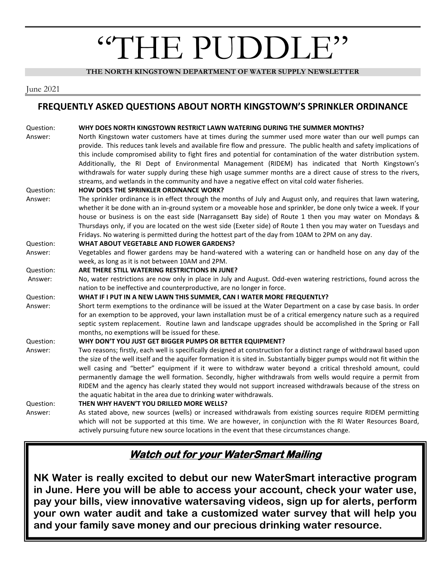# "THE PUDDLE"

**THE NORTH KINGSTOWN DEPARTMENT OF WATER SUPPLY NEWSLETTER**

#### June 2021

#### **FREQUENTLY ASKED QUESTIONS ABOUT NORTH KINGSTOWN'S SPRINKLER ORDINANCE**

| Question: | WHY DOES NORTH KINGSTOWN RESTRICT LAWN WATERING DURING THE SUMMER MONTHS?                                                 |
|-----------|---------------------------------------------------------------------------------------------------------------------------|
| Answer:   | North Kingstown water customers have at times during the summer used more water than our well pumps can                   |
|           | provide. This reduces tank levels and available fire flow and pressure. The public health and safety implications of      |
|           | this include compromised ability to fight fires and potential for contamination of the water distribution system.         |
|           | Additionally, the RI Dept of Environmental Management (RIDEM) has indicated that North Kingstown's                        |
|           | withdrawals for water supply during these high usage summer months are a direct cause of stress to the rivers,            |
|           | streams, and wetlands in the community and have a negative effect on vital cold water fisheries.                          |
| Question: | HOW DOES THE SPRINKLER ORDINANCE WORK?                                                                                    |
| Answer:   | The sprinkler ordinance is in effect through the months of July and August only, and requires that lawn watering,         |
|           | whether it be done with an in-ground system or a moveable hose and sprinkler, be done only twice a week. If your          |
|           | house or business is on the east side (Narragansett Bay side) of Route 1 then you may water on Mondays &                  |
|           | Thursdays only, if you are located on the west side (Exeter side) of Route 1 then you may water on Tuesdays and           |
|           | Fridays. No watering is permitted during the hottest part of the day from 10AM to 2PM on any day.                         |
| Question: | WHAT ABOUT VEGETABLE AND FLOWER GARDENS?                                                                                  |
| Answer:   | Vegetables and flower gardens may be hand-watered with a watering can or handheld hose on any day of the                  |
|           | week, as long as it is not between 10AM and 2PM.                                                                          |
| Question: | ARE THERE STILL WATERING RESTRICTIONS IN JUNE?                                                                            |
| Answer:   | No, water restrictions are now only in place in July and August. Odd-even watering restrictions, found across the         |
|           | nation to be ineffective and counterproductive, are no longer in force.                                                   |
| Question: | WHAT IF I PUT IN A NEW LAWN THIS SUMMER, CAN I WATER MORE FREQUENTLY?                                                     |
| Answer:   | Short term exemptions to the ordinance will be issued at the Water Department on a case by case basis. In order           |
|           | for an exemption to be approved, your lawn installation must be of a critical emergency nature such as a required         |
|           | septic system replacement. Routine lawn and landscape upgrades should be accomplished in the Spring or Fall               |
|           | months, no exemptions will be issued for these.                                                                           |
| Question: | WHY DON'T YOU JUST GET BIGGER PUMPS OR BETTER EQUIPMENT?                                                                  |
| Answer:   | Two reasons; firstly, each well is specifically designed at construction for a distinct range of withdrawal based upon    |
|           | the size of the well itself and the aquifer formation it is sited in. Substantially bigger pumps would not fit within the |
|           | well casing and "better" equipment if it were to withdraw water beyond a critical threshold amount, could                 |
|           | permanently damage the well formation. Secondly, higher withdrawals from wells would require a permit from                |
|           | RIDEM and the agency has clearly stated they would not support increased withdrawals because of the stress on             |
|           | the aquatic habitat in the area due to drinking water withdrawals.                                                        |
| Question: | THEN WHY HAVEN'T YOU DRILLED MORE WELLS?                                                                                  |
| Answer:   | As stated above, new sources (wells) or increased withdrawals from existing sources require RIDEM permitting              |
|           | which will not be supported at this time. We are however, in conjunction with the RI Water Resources Board,               |
|           | actively pursuing future new source locations in the event that these circumstances change.                               |

# **Watch out for your WaterSmart Mailing**

**NK Water is really excited to debut our new WaterSmart interactive program in June. Here you will be able to access your account, check your water use, pay your bills, view innovative watersaving videos, sign up for alerts, perform your own water audit and take a customized water survey that will help you and your family save money and our precious drinking water resource.**